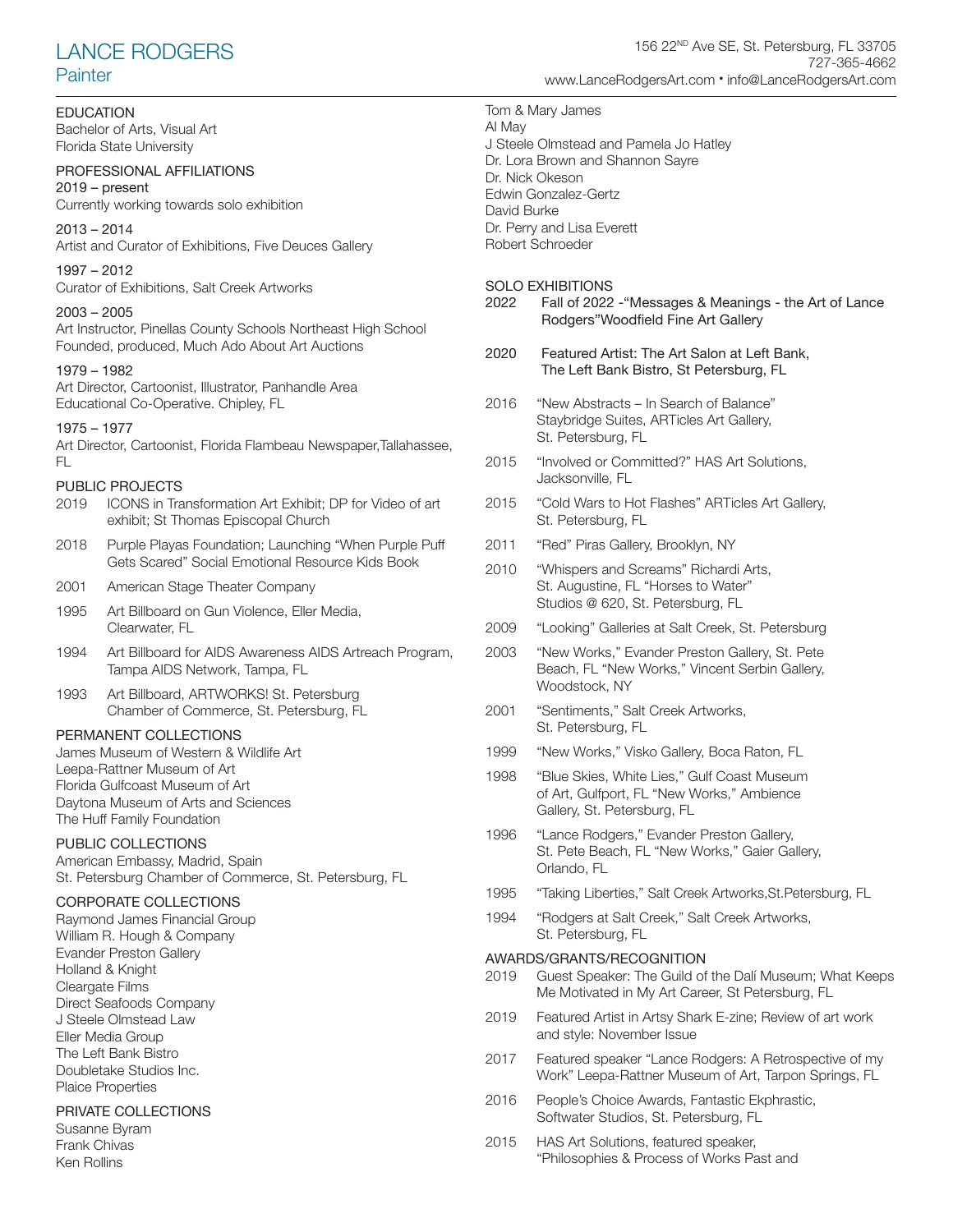# LANCE RODGERS **Painter**

#### *EDUCATION*

Bachelor of Arts, Visual Art Florida State University

# PROFESSIONAL AFFILIATIONS

2019 – present Currently working towards solo exhibition

2013 – 2014 Artist and Curator of Exhibitions, Five Deuces Gallery

1997 – 2012 Curator of Exhibitions, Salt Creek Artworks

#### 2003 – 2005

Art Instructor, Pinellas County Schools Northeast High School Founded, produced, Much Ado About Art Auctions

#### 1979 – 1982

Art Director, Cartoonist, Illustrator, Panhandle Area Educational Co-Operative. Chipley, FL

#### 1975 – 1977

Art Director, Cartoonist, Florida Flambeau Newspaper,Tallahassee, FL

#### PUBLIC PROJECTS

- 2019 ICONS in Transformation Art Exhibit; DP for Video of art exhibit; St Thomas Episcopal Church
- 2018 Purple Playas Foundation; Launching "When Purple Puff Gets Scared" Social Emotional Resource Kids Book
- 2001 American Stage Theater Company
- 1995 Art Billboard on Gun Violence, Eller Media, Clearwater, FL
- 1994 Art Billboard for AIDS Awareness AIDS Artreach Program, Tampa AIDS Network, Tampa, FL
- 1993 Art Billboard, ARTWORKS! St. Petersburg Chamber of Commerce, St. Petersburg, FL

#### PERMANENT COLLECTIONS

James Museum of Western & Wildlife Art Leepa-Rattner Museum of Art Florida Gulfcoast Museum of Art Daytona Museum of Arts and Sciences The Huff Family Foundation

#### PUBLIC COLLECTIONS

American Embassy, Madrid, Spain St. Petersburg Chamber of Commerce, St. Petersburg, FL

# CORPORATE COLLECTIONS

Raymond James Financial Group William R. Hough & Company Evander Preston Gallery Holland & Knight Cleargate Films Direct Seafoods Company J Steele Olmstead Law Eller Media Group The Left Bank Bistro Doubletake Studios Inc. Plaice Properties

#### PRIVATE COLLECTIONS

Susanne Byram Frank Chivas Ken Rollins

Tom & Mary James Al May J Steele Olmstead and Pamela Jo Hatley Dr. Lora Brown and Shannon Sayre Dr. Nick Okeson Edwin Gonzalez-Gertz David Burke Dr. Perry and Lisa Everett Robert Schroeder

# SOLO EXHIBITIONS<br>2022 Eall of 2022

- Fall of 2022 "Messages & Meanings the Art of Lance Rodgers"Woodfield Fine Art Gallery
- 2020 Featured Artist: The Art Salon at Left Bank, The Left Bank Bistro, St Petersburg, FL
- 2016 "New Abstracts In Search of Balance" Staybridge Suites, ARTicles Art Gallery, St. Petersburg, FL
- 2015 "Involved or Committed?" HAS Art Solutions, Jacksonville, FL
- 2015 "Cold Wars to Hot Flashes" ARTicles Art Gallery, St. Petersburg, FL
- 2011 "Red" Piras Gallery, Brooklyn, NY
- 2010 "Whispers and Screams" Richardi Arts, St. Augustine, FL "Horses to Water" Studios @ 620, St. Petersburg, FL
- 2009 "Looking" Galleries at Salt Creek, St. Petersburg
- 2003 "New Works," Evander Preston Gallery, St. Pete Beach, FL "New Works," Vincent Serbin Gallery, Woodstock, NY
- 2001 "Sentiments," Salt Creek Artworks, St. Petersburg, FL
- 1999 "New Works," Visko Gallery, Boca Raton, FL
- 1998 "Blue Skies, White Lies," Gulf Coast Museum of Art, Gulfport, FL "New Works," Ambience Gallery, St. Petersburg, FL
- 1996 "Lance Rodgers," Evander Preston Gallery, St. Pete Beach, FL "New Works," Gaier Gallery, Orlando, FL
- 1995 "Taking Liberties," Salt Creek Artworks,St.Petersburg, FL
- 1994 "Rodgers at Salt Creek," Salt Creek Artworks, St. Petersburg, FL

### AWARDS/GRANTS/RECOGNITION

- 2019 Guest Speaker: The Guild of the Dalí Museum; What Keeps Me Motivated in My Art Career, St Petersburg, FL
- 2019 Featured Artist in Artsy Shark E-zine; Review of art work and style: November Issue
- 2017 Featured speaker "Lance Rodgers: A Retrospective of my Work" Leepa-Rattner Museum of Art, Tarpon Springs, FL
- 2016 People's Choice Awards, Fantastic Ekphrastic, Softwater Studios, St. Petersburg, FL
- 2015 HAS Art Solutions, featured speaker, "Philosophies & Process of Works Past and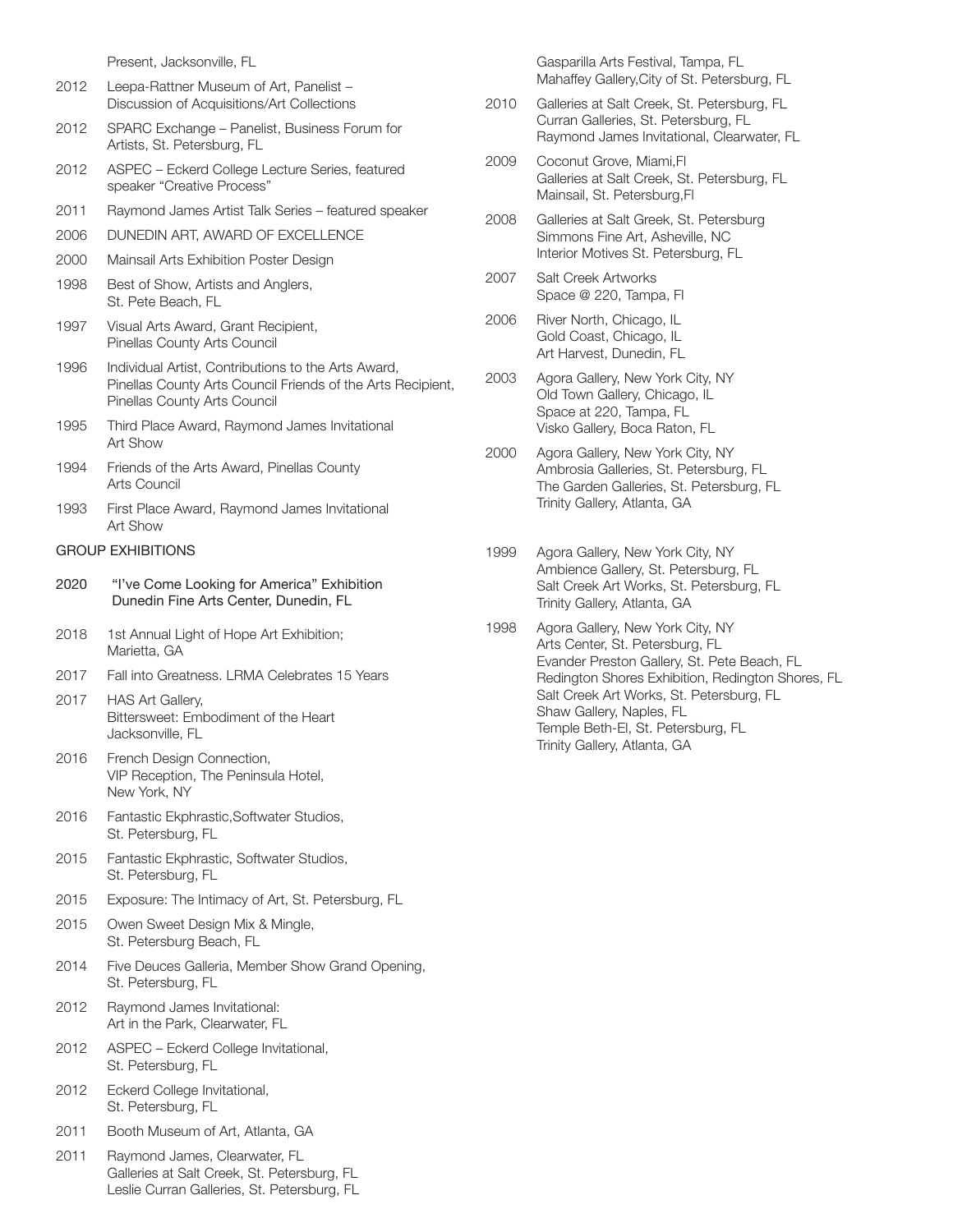Present, Jacksonville, FL

- 2012 Leepa-Rattner Museum of Art, Panelist Discussion of Acquisitions/Art Collections
- 2012 SPARC Exchange Panelist, Business Forum for Artists, St. Petersburg, FL
- 2012 ASPEC Eckerd College Lecture Series, featured speaker "Creative Process"
- 2011 Raymond James Artist Talk Series featured speaker
- 2006 DUNEDIN ART, AWARD OF EXCELLENCE
- 2000 Mainsail Arts Exhibition Poster Design
- 1998 Best of Show, Artists and Anglers, St. Pete Beach, FL
- 1997 Visual Arts Award, Grant Recipient, Pinellas County Arts Council
- 1996 Individual Artist, Contributions to the Arts Award, Pinellas County Arts Council Friends of the Arts Recipient, Pinellas County Arts Council
- 1995 Third Place Award, Raymond James Invitational Art Show
- 1994 Friends of the Arts Award, Pinellas County Arts Council
- 1993 First Place Award, Raymond James Invitational Art Show

#### GROUP EXHIBITIONS

- 2020 "I've Come Looking for America" Exhibition Dunedin Fine Arts Center, Dunedin, FL
- 2018 1st Annual Light of Hope Art Exhibition; Marietta, GA
- 2017 Fall into Greatness. LRMA Celebrates 15 Years
- 2017 HAS Art Gallery, Bittersweet: Embodiment of the Heart Jacksonville, FL
- 2016 French Design Connection, VIP Reception, The Peninsula Hotel, New York, NY
- 2016 Fantastic Ekphrastic,Softwater Studios, St. Petersburg, FL
- 2015 Fantastic Ekphrastic, Softwater Studios, St. Petersburg, FL
- 2015 Exposure: The Intimacy of Art, St. Petersburg, FL
- 2015 Owen Sweet Design Mix & Mingle, St. Petersburg Beach, FL
- 2014 Five Deuces Galleria, Member Show Grand Opening, St. Petersburg, FL
- 2012 Raymond James Invitational: Art in the Park, Clearwater, FL
- 2012 ASPEC Eckerd College Invitational, St. Petersburg, FL
- 2012 Eckerd College Invitational, St. Petersburg, FL
- 2011 Booth Museum of Art, Atlanta, GA
- 2011 Raymond James, Clearwater, FL Galleries at Salt Creek, St. Petersburg, FL Leslie Curran Galleries, St. Petersburg, FL

Gasparilla Arts Festival, Tampa, FL Mahaffey Gallery,City of St. Petersburg, FL

- 2010 Galleries at Salt Creek, St. Petersburg, FL Curran Galleries, St. Petersburg, FL Raymond James Invitational, Clearwater, FL
- 2009 Coconut Grove, Miami,Fl Galleries at Salt Creek, St. Petersburg, FL Mainsail, St. Petersburg,Fl
- 2008 Galleries at Salt Greek, St. Petersburg Simmons Fine Art, Asheville, NC Interior Motives St. Petersburg, FL
- 2007 Salt Creek Artworks Space @ 220, Tampa, Fl
- 2006 River North, Chicago, IL Gold Coast, Chicago, IL Art Harvest, Dunedin, FL
- 2003 Agora Gallery, New York City, NY Old Town Gallery, Chicago, IL Space at 220, Tampa, FL Visko Gallery, Boca Raton, FL
- 2000 Agora Gallery, New York City, NY Ambrosia Galleries, St. Petersburg, FL The Garden Galleries, St. Petersburg, FL Trinity Gallery, Atlanta, GA
- 1999 Agora Gallery, New York City, NY Ambience Gallery, St. Petersburg, FL Salt Creek Art Works, St. Petersburg, FL Trinity Gallery, Atlanta, GA
- 1998 Agora Gallery, New York City, NY Arts Center, St. Petersburg, FL Evander Preston Gallery, St. Pete Beach, FL Redington Shores Exhibition, Redington Shores, FL Salt Creek Art Works, St. Petersburg, FL Shaw Gallery, Naples, FL Temple Beth-El, St. Petersburg, FL Trinity Gallery, Atlanta, GA